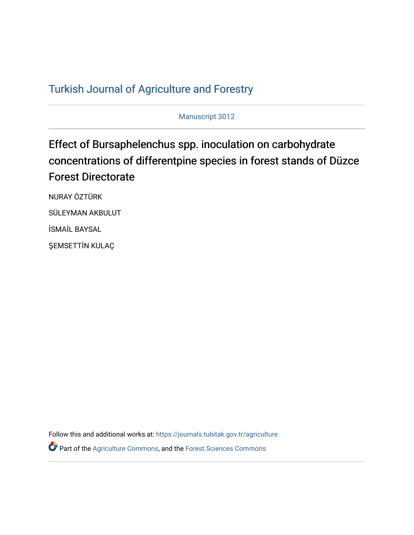## T[urkish Journal of Agriculture and F](https://journals.tubitak.gov.tr/agriculture)orestry

Manuscript 3012

# Effect of Bursaphelenchus spp. inoculation on carbohydrate concentrations of differentpine species in forest stands of Düzce Forest Directorate

NURAY ÖZTÜRK SÜLEYMAN AKBULUT İSMAİL BAYSAL ŞEMSETTİN KULAÇ

Follow this and additional works at: [https://journals.tubitak.gov.tr/agriculture](https://journals.tubitak.gov.tr/agriculture?utm_source=journals.tubitak.gov.tr%2Fagriculture%2Fvol46%2Fiss3%2F12&utm_medium=PDF&utm_campaign=PDFCoverPages)

**P** Part of the [Agriculture Commons](https://network.bepress.com/hgg/discipline/1076?utm_source=journals.tubitak.gov.tr%2Fagriculture%2Fvol46%2Fiss3%2F12&utm_medium=PDF&utm_campaign=PDFCoverPages), and the Forest Sciences Commons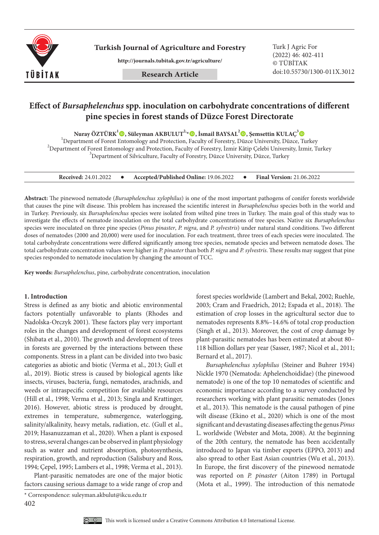

**Turkish Journal of Agriculture and Forestry Turk J Agric For** 

**http://journals.tubitak.gov.tr/agriculture/**

## **Effect of** *Bursaphelenchus* **spp. inoculation on carbohydrate concentrations of different pine species in forest stands of Düzce Forest Directorate**

**Nuray ÖZTÜRK1 , Süleyman AKBULUT2,\*, İsmail BAYSAL2 , Şemsettin KULAÇ3**

<sup>1</sup> Department of Forest Entomology and Protection, Faculty of Forestry, Düzce University, Düzce, Turkey <sup>2</sup><br><sup>2</sup> Department of Forest Entample ay and Protection, Faculty of Forestry, Lunia *V*âtin Geleki University, Lunia  $^2$ Department of Forest Entomology and Protection, Faculty of Forestry, İzmir Kâtip Çelebi University, İzmir, Turkey  $3$ Department of Silviculture, Faculty of Forestry, Düzce University, Düzce, Turkey

| <b>Received: 24.01.2022</b> |  | Accepted/Published Online: 19.06.2022 |  | <b>Final Version: 21.06.2022</b> |
|-----------------------------|--|---------------------------------------|--|----------------------------------|
|-----------------------------|--|---------------------------------------|--|----------------------------------|

**Abstract:** The pinewood nematode (*Bursaphelenchus xylophilus*) is one of the most important pathogens of conifer forests worldwide that causes the pine wilt disease. This problem has increased the scientific interest in *Bursaphelenchus* species both in the world and in Turkey. Previously, six *Bursaphelenchus* species were isolated from wilted pine trees in Turkey. The main goal of this study was to investigate the effects of nematode inoculation on the total carbohydrate concentrations of tree species. Native six *Bursaphelenchus*  species were inoculated on three pine species (*Pinus pinaster*, *P. nigra*, and *P. sylvestris*) under natural stand conditions. Two different doses of nematodes (2000 and 20,000) were used for inoculation. For each treatment, three trees of each species were inoculated. The total carbohydrate concentrations were differed significantly among tree species, nematode species and between nematode doses. The total carbohydrate concentration values were higher in *P. pinaster* than both *P. nigra* and *P. sylvestris*. These results may suggest that pine species responded to nematode inoculation by changing the amount of TCC.

**Key words:** *Bursaphelenchus*, pine, carbohydrate concentration, inoculation

### **1. Introduction**

Stress is defined as any biotic and abiotic environmental factors potentially unfavorable to plants (Rhodes and Nadolska-Orczyk 2001). These factors play very important roles in the changes and development of forest ecosystems (Shibata et al., 2010). The growth and development of trees in forests are governed by the interactions between these components. Stress in a plant can be divided into two basic categories as abiotic and biotic (Verma et al., 2013; Gull et al., 2019). Biotic stress is caused by biological agents like insects, viruses, bacteria, fungi, nematodes, arachnids, and weeds or intraspecific competition for available resources (Hill et al., 1998; Verma et al., 2013; Singla and Krattinger, 2016). However, abiotic stress is produced by drought, extremes in temperature, submergence, waterlogging, salinity/alkalinity, heavy metals, radiation, etc. (Gull et al., 2019; Hasanuzzaman et al., 2020). When a plant is exposed to stress, several changes can be observed in plant physiology such as water and nutrient absorption, photosynthesis, respiration, growth, and reproduction (Salisbury and Ross, 1994; Çepel, 1995; Lambers et al., 1998; Verma et al., 2013).

Plant-parasitic nematodes are one of the major biotic factors causing serious damage to a wide range of crop and forest species worldwide (Lambert and Bekal, 2002; Ruehle, 2003; Cram and Fraedrich, 2012; Espada et al., 2018). The estimation of crop losses in the agricultural sector due to nematodes represents 8.8%–14.6% of total crop production (Singh et al., 2013). Moreover, the cost of crop damage by plant-parasitic nematodes has been estimated at about 80– 118 billion dollars per year (Sasser, 1987; Nicol et al., 2011; Bernard et al., 2017).

*Bursaphelenchus xylophilus* (Steiner and Buhrer 1934) Nickle 1970 (Nematoda: Aphelenchoididae) (the pinewood nematode) is one of the top 10 nematodes of scientific and economic importance according to a survey conducted by researchers working with plant parasitic nematodes (Jones et al., 2013). This nematode is the causal pathogen of pine wilt disease (Ekino et al., 2020) which is one of the most significant and devastating diseases affecting the genus *Pinus* L. worldwide (Webster and Mota, 2008). At the beginning of the 20th century, the nematode has been accidentally introduced to Japan via timber exports (EPPO, 2013) and also spread to other East Asian countries (Wu et al., 2013). In Europe, the first discovery of the pinewood nematode was reported on *P. pinaster* (Aiton 1789) in Portugal (Mota et al., 1999). The introduction of this nematode

<sup>402</sup> \* Correspondence: suleyman.akbulut@ikcu.edu.tr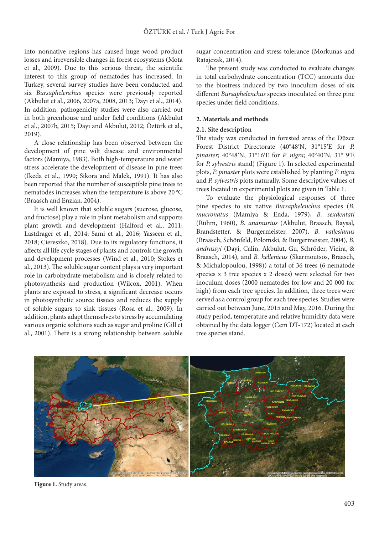into nonnative regions has caused huge wood product losses and irreversible changes in forest ecosystems (Mota et al., 2009). Due to this serious threat, the scientific interest to this group of nematodes has increased. In Turkey, several survey studies have been conducted and six *Bursaphelenchus* species were previously reported (Akbulut et al., 2006, 2007a, 2008, 2013; Dayı et al., 2014). In addition, pathogenicity studies were also carried out in both greenhouse and under field conditions (Akbulut et al., 2007b, 2015; Dayı and Akbulut, 2012; Öztürk et al., 2019).

A close relationship has been observed between the development of pine wilt disease and environmental factors (Mamiya, 1983). Both high-temperature and water stress accelerate the development of disease in pine trees (Ikeda et al., 1990; Sikora and Malek, 1991). It has also been reported that the number of susceptible pine trees to nematodes increases when the temperature is above 20 °C (Braasch and Enzian, 2004).

It is well known that soluble sugars (sucrose, glucose, and fructose) play a role in plant metabolism and supports plant growth and development (Halford et al., 2011; Lastdrager et al., 2014; Sami et al., 2016; Yasseen et al., 2018; Ciereszko, 2018). Due to its regulatory functions, it affects all life cycle stages of plants and controls the growth and development processes (Wind et al., 2010; Stokes et al., 2013). The soluble sugar content plays a very important role in carbohydrate metabolism and is closely related to photosynthesis and production (Wilcox, 2001). When plants are exposed to stress, a significant decrease occurs in photosynthetic source tissues and reduces the supply of soluble sugars to sink tissues (Rosa et al., 2009). In addition, plants adapt themselves to stress by accumulating various organic solutions such as sugar and proline (Gill et al., 2001). There is a strong relationship between soluble sugar concentration and stress tolerance (Morkunas and Ratajczak, 2014).

The present study was conducted to evaluate changes in total carbohydrate concentration (TCC) amounts due to the biostress induced by two inoculum doses of six different *Bursaphelenchus* species inoculated on three pine species under field conditions.

#### **2. Materials and methods**

#### **2.1. Site description**

The study was conducted in forested areas of the Düzce Forest District Directorate (40°48′N, 31°15′E for *P. pinaster*; 40°48′N, 31°16′E for *P. nigra*; 40°40′N, 31° 9′E for *P. sylvestris* stand) (Figure 1). In selected experimental plots, *P. pinaster* plots were established by planting *P. nigra* and *P. sylvestris* plots naturally. Some descriptive values of trees located in experimental plots are given in Table 1.

To evaluate the physiological responses of three pine species to six native *Bursaphelenchus* species (*B. mucronatus* (Mamiya & Enda, 1979), *B. sexdentati*  (Rühm, 1960), *B. anamurius* (Akbulut, Braasch, Baysal, Brandstetter, & Burgermeister, 2007), *B. vallesianus* (Braasch, Schönfeld, Polomski, & Burgermeister, 2004), *B. andrassyi* (Dayi, Calin, Akbulut, Gu, Schröder, Vieira, & Braasch, 2014), and *B. hellenicus* (Skarmoutsos, Braasch, & Michalopoulou, 1998)) a total of 36 trees (6 nematode species x 3 tree species x 2 doses) were selected for two inoculum doses (2000 nematodes for low and 20 000 for high) from each tree species. In addition, three trees were served as a control group for each tree species. Studies were carried out between June, 2015 and May, 2016. During the study period, temperature and relative humidity data were obtained by the data logger (Cem DT-172) located at each tree species stand.



**Figure 1.** Study areas.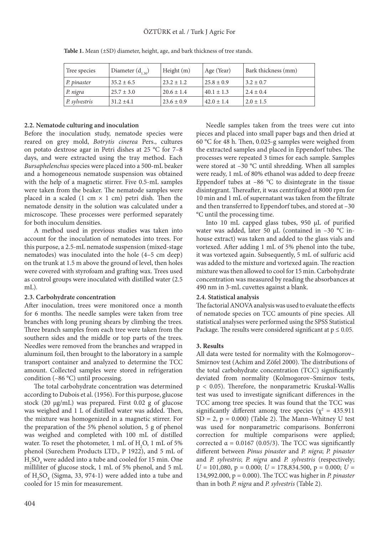| Tree species          | Diameter $(d_{1,30})$ | Height $(m)$   | Age (Year)     | Bark thickness (mm) |
|-----------------------|-----------------------|----------------|----------------|---------------------|
| P. pinaster           | $35.2 \pm 6.5$        | $23.2 \pm 1.2$ | $25.8 \pm 0.9$ | $3.2 \pm 0.7$       |
| P. nigra              | $25.7 \pm 3.0$        | $20.6 \pm 1.4$ | $40.1 \pm 1.3$ | $2.4 \pm 0.4$       |
| $\vert P.$ sylvestris | $31.2 \pm 4.1$        | $23.6 \pm 0.9$ | $42.0 \pm 1.4$ | $2.0 \pm 1.5$       |

**Table 1.** Mean (±SD) diameter, height, age, and bark thickness of tree stands.

## **2.2. Nematode culturing and inoculation**

Before the inoculation study, nematode species were reared on grey mold, *Botrytis cinerea* Pers., cultures on potato dextrose agar in Petri dishes at 25 °C for 7–8 days, and were extracted using the tray method. Each *Bursaphelenchus* species were placed into a 500-mL beaker and a homogeneous nematode suspension was obtained with the help of a magnetic stirrer. Five 0.5-mL samples were taken from the beaker. The nematode samples were placed in a scaled (1 cm  $\times$  1 cm) petri dish. Then the nematode density in the solution was calculated under a microscope. These processes were performed separately for both inoculum densities.

A method used in previous studies was taken into account for the inoculation of nematodes into trees. For this purpose, a 2.5‐mL nematode suspension (mixed‐stage nematodes) was inoculated into the hole (4–5 cm deep) on the trunk at 1.5 m above the ground of level, then holes were covered with styrofoam and grafting wax. Trees used as control groups were inoculated with distilled water (2.5 mL).

## **2.3. Carbohydrate concentration**

After inoculation, trees were monitored once a month for 6 months. The needle samples were taken from tree branches with long pruning shears by climbing the trees. Three branch samples from each tree were taken from the southern sides and the middle or top parts of the trees. Needles were removed from the branches and wrapped in aluminum foil, then brought to the laboratory in a sample transport container and analyzed to determine the TCC amount. Collected samples were stored in refrigeration condition (–86 °C) until processing.

The total carbohydrate concentration was determined according to Dubois et al. (1956). For this purpose, glucose stock (20 μg/mL) was prepared. First 0.02 g of glucose was weighed and 1 L of distilled water was added. Then, the mixture was homogenized in a magnetic stirrer. For the preparation of the 5% phenol solution, 5 g of phenol was weighed and completed with 100 mL of distilled water. To reset the photometer,  $1 \text{ mL of } H_2O$ ,  $1 \text{ mL of } 5\%$ phenol (Surechem Products LTD., P 1922), and 5 mL of H2 SO4 were added into a tube and cooled for 15 min. One milliliter of glucose stock, 1 mL of 5% phenol, and 5 mL of  $H_2SO_4$  (Sigma, 33, 974-1) were added into a tube and cooled for 15 min for measurement.

Needle samples taken from the trees were cut into pieces and placed into small paper bags and then dried at 60 °C for 48 h. Then, 0.025-g samples were weighed from the extracted samples and placed in Eppendorf tubes. The processes were repeated 3 times for each sample. Samples were stored at –30 °C until shredding. When all samples were ready, 1 mL of 80% ethanol was added to deep freeze Eppendorf tubes at  $-86$  °C to disintegrate in the tissue disintegrant. Thereafter, it was centrifuged at 8000 rpm for 10 min and 1 mL of supernatant was taken from the filtrate and then transferred to Eppendorf tubes, and stored at –30 °C until the processing time.

Into 10 mL capped glass tubes, 950 μL of purified water was added, later 50 μL (contained in –30 °C inhouse extract) was taken and added to the glass vials and vortexed. After adding 1 mL of 5% phenol into the tube, it was vortexed again. Subsequently, 5 mL of sulfuric acid was added to the mixture and vortexed again. The reaction mixture was then allowed to cool for 15 min. Carbohydrate concentration was measured by reading the absorbances at 490 nm in 3-mL cuvettes against a blank.

## **2.4. Statistical analysis**

The factorial ANOVA analysis was used to evaluate the effects of nematode species on TCC amounts of pine species. All statistical analyses were performed using the SPSS Statistical Package. The results were considered significant at  $p \leq 0.05$ .

## **3. Results**

All data were tested for normality with the Kolmogorov– Smirnov test (Achim and Zöfel 2000). The distributions of the total carbohydrate concentration (TCC) significantly deviated from normality (Kolmogorov–Smirnov tests, p < 0.05). Therefore, the nonparametric Kruskal-Wallis test was used to investigate significant differences in the TCC among tree species. It was found that the TCC was significantly different among tree species ( $\chi^2 = 435.911$  $SD = 2$ ,  $p = 0.000$ ) (Table 2). The Mann–Whitney U test was used for nonparametric comparisons. Bonferroni correction for multiple comparisons were applied; corrected  $\alpha$  = 0.0167 (0.05/3). The TCC was significantly different between *Pinus pinaster* and *P. nigra*; *P. pinaster* and *P. sylvestris*; *P. nigra* and *P. sylvestris* (respectively; *U* = 101,080, p = 0.000; *U* = 178,834.500, p = 0.000; *U* = 134,992.000, p = 0.000). The TCC was higher in *P. pinaster* than in both *P. nigra* and *P. sylvestris* (Table 2).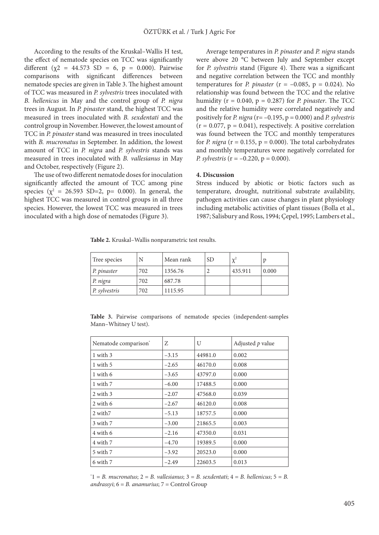According to the results of the Kruskal–Wallis H test, the effect of nematode species on TCC was significantly different (χ2 = 44.573 SD = 6, p = 0.000). Pairwise comparisons with significant differences between nematode species are given in Table 3. The highest amount of TCC was measured in *P. sylvestris* trees inoculated with *B. hellenicus* in May and the control group of *P. nigra* trees in August. In *P. pinaster* stand, the highest TCC was measured in trees inoculated with *B. sexdentati* and the control group in November. However, the lowest amount of TCC in *P. pinaster* stand was measured in trees inoculated with *B. mucronatus* in September. In addition, the lowest amount of TCC in *P. nigra* and *P. sylvestris* stands was measured in trees inoculated with *B. vallesianus* in May and October, respectively (Figure 2).

The use of two different nematode doses for inoculation significantly affected the amount of TCC among pine species ( $\chi^2$  = 26.593 SD=2, p= 0.000). In general, the highest TCC was measured in control groups in all three species. However, the lowest TCC was measured in trees inoculated with a high dose of nematodes (Figure 3).

Average temperatures in *P. pinaster* and *P. nigra* stands were above 20 °C between July and September except for *P. sylvestris* stand (Figure 4). There was a significant and negative correlation between the TCC and monthly temperatures for *P. pinaster* ( $r = -0.085$ ,  $p = 0.024$ ). No relationship was found between the TCC and the relative humidity ( $r = 0.040$ ,  $p = 0.287$ ) for *P. pinaster*. The TCC and the relative humidity were correlated negatively and positively for *P. nigra* (r= –0.195, p = 0.000) and *P. sylvestris*  $(r = 0.077, p = 0.041)$ , respectively. A positive correlation was found between the TCC and monthly temperatures for *P. nigra* ( $r = 0.155$ ,  $p = 0.000$ ). The total carbohydrates and monthly temperatures were negatively correlated for *P. sylvestris* (r = –0.220, p = 0.000).

#### **4. Discussion**

Stress induced by abiotic or biotic factors such as temperature, drought, nutritional substrate availability, pathogen activities can cause changes in plant physiology including metabolic activities of plant tissues (Bolla et al., 1987; Salisbury and Ross, 1994; Çepel, 1995; Lambers et al.,

**Table 2.** Kruskal–Wallis nonparametric test results.

| Tree species              |     | Mean rank | <b>SD</b> | $v^2$   |       |
|---------------------------|-----|-----------|-----------|---------|-------|
| $\vert P. pinaster \vert$ | 702 | 1356.76   |           | 435.911 | 0.000 |
| P. nigra                  | 702 | 687.78    |           |         |       |
| $\vert P.$ sylvestris     | 702 | 1115.95   |           |         |       |

**Table 3.** Pairwise comparisons of nematode species (independent-samples Mann–Whitney U test).

| Z       | U       | Adjusted $p$ value |
|---------|---------|--------------------|
| $-3.15$ | 44981.0 | 0.002              |
| $-2.65$ | 46170.0 | 0.008              |
| $-3.65$ | 43797.0 | 0.000              |
| $-6.00$ | 17488.5 | 0.000              |
| $-2.07$ | 47568.0 | 0.039              |
| $-2.67$ | 46120.0 | 0.008              |
| $-5.13$ | 18757.5 | 0.000              |
| $-3.00$ | 21865.5 | 0.003              |
| $-2.16$ | 47350.0 | 0.031              |
| $-4.70$ | 19389.5 | 0.000              |
| $-3.92$ | 20523.0 | 0.000              |
| $-2.49$ | 22603.5 | 0.013              |
|         |         |                    |

\* 1 = *B. mucronatus*; 2 = *B. vallesianus*; 3 = *B. sexdentati*; 4 = *B. hellenicus*; 5 = *B. andrassyi*; 6 = *B. anamurius*; 7 = Control Group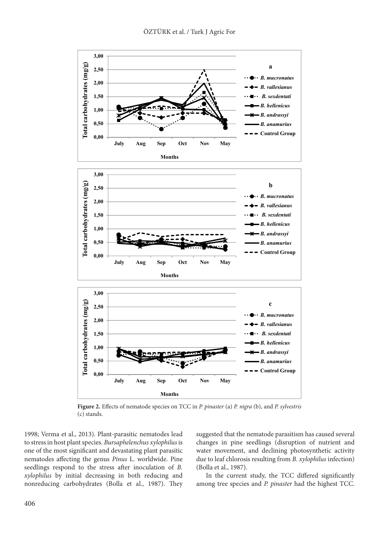

**Figure 2.** Effects of nematode species on TCC in *P. pinaster* (a) *P. nigra* (b), and *P. sylvestris*  (c) stands.

1998; Verma et al., 2013). Plant-parasitic nematodes lead to stress in host plant species. *Bursaphelenchus xylophilus* is one of the most significant and devastating plant parasitic nematodes affecting the genus *Pinus* L. worldwide. Pine seedlings respond to the stress after inoculation of *B. xylophilus* by initial decreasing in both reducing and nonreducing carbohydrates (Bolla et al., 1987). They suggested that the nematode parasitism has caused several changes in pine seedlings (disruption of nutrient and water movement, and declining photosynthetic activity due to leaf chlorosis resulting from *B. xylophilus* infection) (Bolla et al., 1987).

In the current study, the TCC differed significantly among tree species and *P. pinaster* had the highest TCC.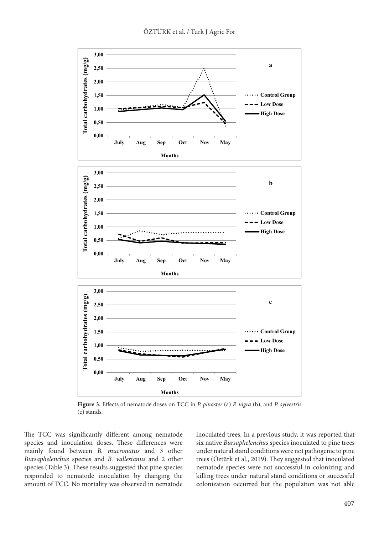

**Figure 3.** Effects of nematode doses on TCC in *P. pinaster* (a) *P. nigra* (b), and *P. sylvestris*  (c) stands.

The TCC was significantly different among nematode species and inoculation doses. These differences were mainly found between *B. mucronatus* and 3 other *Bursaphelenchus* species and *B. vallesianus* and 2 other species (Table 3). These results suggested that pine species responded to nematode inoculation by changing the amount of TCC. No mortality was observed in nematode inoculated trees. In a previous study, it was reported that six native *Bursaphelenchus* species inoculated to pine trees under natural stand conditions were not pathogenic to pine trees (Öztürk et al., 2019). They suggested that inoculated nematode species were not successful in colonizing and killing trees under natural stand conditions or successful colonization occurred but the population was not able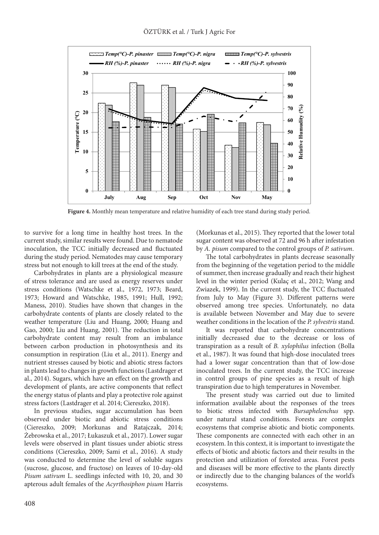

**Figure 4.** Monthly mean temperature and relative humidity of each tree stand during study period.

to survive for a long time in healthy host trees. In the current study, similar results were found. Due to nematode inoculation, the TCC initially decreased and fluctuated during the study period. Nematodes may cause temporary stress but not enough to kill trees at the end of the study.

Carbohydrates in plants are a physiological measure of stress tolerance and are used as energy reserves under stress conditions (Watschke et al., 1972, 1973; Beard, 1973; Howard and Watschke, 1985, 1991; Hull, 1992; Maness, 2010). Studies have shown that changes in the carbohydrate contents of plants are closely related to the weather temperature (Liu and Huang, 2000; Huang and Gao, 2000; Liu and Huang, 2001). The reduction in total carbohydrate content may result from an imbalance between carbon production in photosynthesis and its consumption in respiration (Liu et al., 2011). Energy and nutrient stresses caused by biotic and abiotic stress factors in plants lead to changes in growth functions (Lastdrager et al., 2014). Sugars, which have an effect on the growth and development of plants, are active components that reflect the energy status of plants and play a protective role against stress factors (Lastdrager et al. 2014; Ciereszko, 2018).

In previous studies, sugar accumulation has been observed under biotic and abiotic stress conditions (Ciereszko, 2009; Morkunas and Ratajczak, 2014; Żebrowska et al., 2017; Łukaszuk et al., 2017). Lower sugar levels were observed in plant tissues under abiotic stress conditions (Ciereszko, 2009; Sami et al., 2016). A study was conducted to determine the level of soluble sugars (sucrose, glucose, and fructose) on leaves of 10-day-old *Pisum sativum* L. seedlings infected with 10, 20, and 30 apterous adult females of the *Acyrthosiphon pisum* Harris

(Morkunas et al., 2015). They reported that the lower total sugar content was observed at 72 and 96 h after infestation by *A. pisum* compared to the control groups of *P. sativum*.

The total carbohydrates in plants decrease seasonally from the beginning of the vegetation period to the middle of summer, then increase gradually and reach their highest level in the winter period (Kulaç et al., 2012; Wang and Zwiazek, 1999). In the current study, the TCC fluctuated from July to May (Figure 3). Different patterns were observed among tree species. Unfortunately, no data is available between November and May due to severe weather conditions in the location of the *P. sylvestris* stand.

It was reported that carbohydrate concentrations initially decreased due to the decrease or loss of transpiration as a result of *B. xylophilus* infection (Bolla et al., 1987). It was found that high-dose inoculated trees had a lower sugar concentration than that of low-dose inoculated trees. In the current study, the TCC increase in control groups of pine species as a result of high transpiration due to high temperatures in November.

The present study was carried out due to limited information available about the responses of the trees to biotic stress infected with *Bursaphelenchus* spp. under natural stand conditions. Forests are complex ecosystems that comprise abiotic and biotic components. These components are connected with each other in an ecosystem. In this context, it is important to investigate the effects of biotic and abiotic factors and their results in the protection and utilization of forested areas. Forest pests and diseases will be more effective to the plants directly or indirectly due to the changing balances of the world's ecosystems.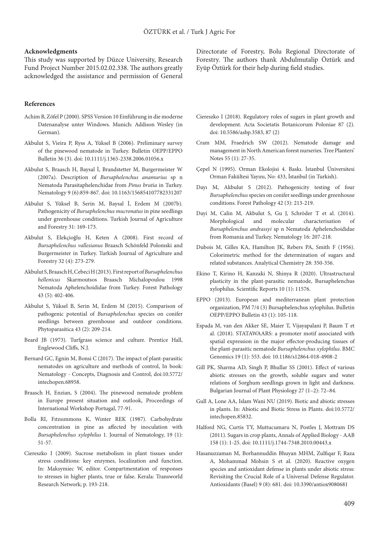#### **Acknowledgments**

This study was supported by Düzce University, Research Fund Project Number 2015.02.02.338. The authors greatly acknowledged the assistance and permission of General

#### **References**

- Achim B, Zöfel P (2000). SPSS Version 10 Einführung in die moderne Datenanalyse unter Windows. Munich: Addison Wesley (in German).
- Akbulut S, Vieira P, Ryss A, Yüksel B (2006). Preliminary survey of the pinewood nematode in Turkey. Bulletin OEPP/EPPO Bulletin 36 (3). doi: 10.1111/j.1365-2338.2006.01056.x
- Akbulut S, Braasch H, Baysal İ, Brandstetter M, Burgermeister W (2007a). Description of *Bursaphelenchus anamurius* sp n Nematoda Parasitaphelenchidae from *Pinus brutia* in Turkey. Nematology 9 (6):859-867. doi: 10.1163/156854107782331207
- Akbulut S, Yüksel B, Serin M, Baysal İ, Erdem M (2007b). Pathogenicity of *Bursaphelenchus mucronatus* in pine seedlings under greenhouse conditions. Turkish Journal of Agriculture and Forestry 31: 169-173.
- Akbulut S, Elekçioğlu H, Keten A (2008). First record of *Bursaphelenchus vallesianus* Braasch Schönfeld Polomski and Burgermeister in Turkey. Turkish Journal of Agriculture and Forestry 32 (4): 273-279.
- Akbulut S, Braasch H, Cebeci H (2013). First report of *Bursaphelenchus hellenicus* Skarmoutsos Braasch Michalopoulou 1998 Nematoda Aphelenchoididae from Turkey. Forest Pathology 43 (5): 402-406.
- Akbulut S, Yüksel B, Serin M, Erdem M (2015). Comparison of pathogenic potential of *Bursaphelenchus* species on conifer seedlings between greenhouse and outdoor conditions. Phytoparasitica 43 (2): 209-214.
- Beard JB (1973). Turfgrass science and culture. Prentice Hall, Englewood Cliffs, N.J.
- Bernard GC, Egnin M, Bonsi C (2017). The impact of plant-parasitic nematodes on agriculture and methods of control, In book: Nematology - Concepts, Diagnosis and Control, doi:10.5772/ intechopen.68958.
- Braasch H, Enzian, S (2004). The pinewood nematode problem in Europe present situation and outlook, Proceedings of International Workshop Portugal, 77-91.
- Bolla RI, Fıtzsımmons K, Wınter REK (1987). Carbohydrate concentration in pine as affected by inoculation with *Bursaphelenchus xylophilus* 1. Journal of Nematology, 19 (1): 51-57.
- Ciereszko I (2009). Sucrose metabolism in plant tissues under stress conditions: key enzymes, localization and function. In: Maksymiec W, editor. Compartmentation of responses to stresses in higher plants, true or false. Kerala: Transworld Research Network; p. 193-218.

Directorate of Forestry, Bolu Regional Directorate of Forestry. The authors thank Abdulmutalip Öztürk and Eyüp Öztürk for their help during field studies.

- Ciereszko I (2018). Regulatory roles of sugars in plant growth and development. Acta Societatis Botanicorum Poloniae 87 (2). doi: 10.5586/asbp.3583, 87 (2)
- Cram MM, Fraedrich SW (2012). Nematode damage and management in North American forest nurseries. Tree Planters' Notes 55 (1): 27-35.
- Çepel N (1995). Orman Ekolojisi 4. Baskı. İstanbul Üniversitesi Orman Fakültesi Yayını, No: 433, İstanbul (in Turkish).
- Dayı M, Akbulut S (2012). Pathogenicity testing of four *Bursaphelenchus* species on conifer seedlings under greenhouse conditions. Forest Pathology 42 (3): 213-219.
- Dayi M, Calin M, Akbulut S, Gu J, Schröder T et al. (2014). Morphological and molecular characterisation of *Bursaphelenchus andrassyi* sp n Nematoda Aphelenchoididae from Romania and Turkey. Nematology 16: 207-218.
- Dubois M, Gilles KA, Hamilton JK, Rebers PA, Smith F (1956). Colorimetric method for the determination of sugars and related substances. Analytical Chemistry 28: 350-356.
- Ekino T, Kirino H, Kanzaki N, Shinya R (2020). Ultrastructural plasticity in the plant-parasitic nematode, Bursaphelenchus xylophilus. Scientific Reports 10 (1): 11576.
- EPPO (2013). European and mediterranean plant protection organization, PM 7/4 (3) Bursaphelenchus xylophilus. Bulletin OEPP/EPPO Bulletin 43 (1): 105-118.
- Espada M, van den Akker SE, Maier T, Vijayapalani P, Baum T et al. (2018). STATAWAARS: a promoter motif associated with spatial expression in the major effector-producing tissues of the plant-parasitic nematode *Bursaphelenchus xylophilus*. BMC Genomics 19 (1): 553. doi: 10.1186/s12864-018-4908-2
- Gill PK, Sharma AD, Singh P, Bhullar SS (2001). Effect of various abiotic stresses on the growth, soluble sugars and water relations of Sorghum seedlings grown in light and darkness. Bulgarian Journal of Plant Physiology 27 (1–2): 72–84.
- Gull A, Lone AA, Islam Wani NU (2019). Biotic and abiotic stresses in plants. In: Abiotic and Biotic Stress in Plants. doi:10.5772/ intechopen.85832.
- Halford NG, Curtis TY, Muttucumaru N, Postles J, Mottram DS (2011). Sugars in crop plants, Annals of Applied Biology - AAB 158 (1): 1-25. doi: 10.1111/j.1744-7348.2010.00443.x
- Hasanuzzaman M, Borhannuddin Bhuyan MHM, Zulfiqar F, Raza A, Mohammad Mohsin S et al. (2020). Reactive oxygen species and antioxidant defense in plants under abiotic stress: Revisiting the Crucial Role of a Universal Defense Regulator. Antioxidants (Basel) 9 (8): 681. doi: 10.3390/antiox9080681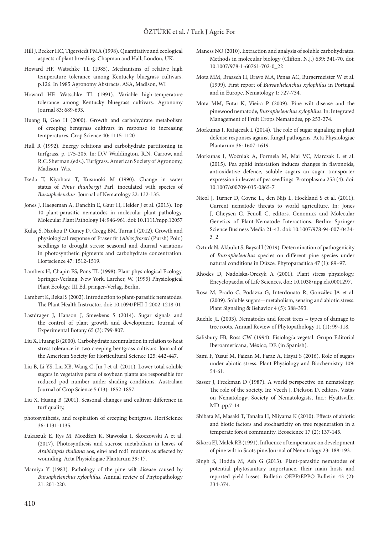- Hill J, Becker HC, Tigerstedt PMA (1998). Quantitative and ecological aspects of plant breeding. Chapman and Hall, London, UK.
- Howard HF, Watschke TL (1985). Mechanisms of relative high temperature tolerance among Kentucky bluegrass cultivars. p.126. In 1985 Agronomy Abstracts, ASA, Madison, WI
- Howard HF, Watschke TL (1991). Variable high-temperature tolerance among Kentucky bluegrass cultivars. Agronomy Journal 83: 689-693.
- Huang B, Gao H (2000). Growth and carbohydrate metabolism of creeping bentgrass cultivars in response to increasing temperatures. Crop Science 40: 1115-1120
- Hull R (1992). Energy relations and carbohydrate partitioning in turfgrass, p. 175-205. In: D.V Waddington, R.N. Carrow, and R.C. Sherman.(eds.). Turfgrass. American Society of Agronomy, Madison, Wis.
- Ikeda T, Kiyohara T, Kusunoki M (1990). Change in water status of *Pinus thunbergii* Parl. inoculated with species of *Bursaphelenchus.* Journal of Nematology 22: 132-135.
- Jones J, Haegeman A, Danchin E, Gaur H, Helder J et al. (2013). Top 10 plant-parasitic nematodes in molecular plant pathology. Molecular Plant Pathology 14: 946-961. doi: 10.1111/mpp.12057
- Kulaç S, Nzokou P, Guney D, Cregg BM, Turna I (2012). Growth and physiological response of Fraser fir (*Abies fraseri* (Pursh) Poir.) seedlings to drought stress: seasonal and diurnal variations in photosynthetic pigments and carbohydrate concentration. Hortscience 47: 1512-1519.
- Lambers H, Chapin FS, Pons TL (1998). Plant physiological Ecology. Springer-Verlang, New York. Larcher, W. (1995) Physiological Plant Ecology. III Ed. pringer-Verlag, Berlin.
- Lambert K, Bekal S (2002). Introduction to plant-parasitic nematodes. The Plant Health Instructor. doi: 10.1094/PHI-I-2002-1218-01
- Lastdrager J, Hanson J, Smeekens S (2014). Sugar signals and the control of plant growth and development. Journal of Experimental Botany 65 (3): 799-807.
- Liu X, Huang B (2000). Carbohydrate accumulation in relation to heat stress tolerance in two creeping bentgrass cultivars. Journal of the American Society for Horticultural Science 125: 442-447.
- Liu B, Li YS, Liu XB, Wang C, Jın J et al. (2011). Lower total soluble sugars in vegetative parts of soybean plants are responsible for reduced pod number under shading conditions. Australian Journal of Crop Science 5 (13): 1852-1857.
- Liu X, Huang B (2001). Seasonal changes and cultivar difference in turf quality,
- photosynthesis, and respiration of creeping bentgrass. HortScience 36: 1131-1135.
- Łukaszuk E, Rys M, Możdżeń K, Stawoska I, Skoczowski A et al. (2017). Photosynthesis and sucrose metabolism in leaves of *Arabidopsis thaliana* aos, ein4 and rcd1 mutants as affected by wounding. Acta Physiologiae Plantarum 39: 17.
- Mamiya Y (1983). Pathology of the pine wilt disease caused by *Bursaphelenchus xylophilus*. Annual review of Phytopathology 21: 201-220.
- Maness NO (2010). Extraction and analysis of soluble carbohydrates. Methods in molecular biology (Clifton, N.J.) 639: 341-70. doi: 10.1007/978-1-60761-702-0\_22
- Mota MM, Braasch H, Bravo MA, Penas AC, Burgermeister W et al. (1999). First report of *Bursaphelenchus xylophilus* in Portugal and in Europe. Nematology 1: 727-734.
- Mota MM, Futai K, Vieira P (2009). Pine wilt disease and the pinewood nematode, *Bursaphelenchus xylophilus*. In: Integrated Management of Fruit Crops Nematodes, pp 253-274.
- Morkunas I, Ratajczak L (2014). The role of sugar signaling in plant defense responses against fungal pathogens. Acta Physiologiae Plantarum 36: 1607-1619.
- Morkunas I, Woźniak A, Formela M, Mai VC, Marczak L et al. (2015). Pea aphid infestation induces changes in flavonoids, antioxidative defence, soluble sugars an sugar transporter expression in leaves of pea seedlings. Protoplasma 253 (4). doi: 10.1007/s00709-015-0865-7
- Nicol J, Turner D, Coyne L., den Nijs L, Hockland S et al. (2011). Current nematode threats to world agriculture. In: Jones J, Gheysen G, Fenoll C, editors. Genomics and Molecular Genetics of Plant-Nematode Interactions. Berlin: Springer Science Business Media 21-43. doi: 10.1007/978-94-007-0434- 3\_2
- Öztürk N, Akbulut S, Baysal İ (2019). Determination of pathogenicity of *Bursaphelenchus* species on different pine species under natural conditions in Düzce. Phytoparasitica 47 (1): 89–97.
- Rhodes D, Nadolska-Orczyk A (2001). Plant stress physiology. Encyclopaedia of Life Sciences, doi: 10.1038/npg.els.0001297.
- Rosa M, Prado C, Podazza G, Interdonato R, González JA et al. (2009). Soluble sugars—metabolism, sensing and abiotic stress. Plant Signaling & Behavior 4 (5): 388-393.
- Ruehle JL (2003). Nematodes and forest trees types of damage to tree roots. Annual Review of Phytopathology 11 (1): 99-118.
- Salisbury FB, Ross CW (1994). Fisiología vegetal. Grupo Editorial Iberoamericana, México, DF. (in Spanish).
- Sami F, Yusuf M, Faizan M, Faraz A, Hayat S (2016). Role of sugars under abiotic stress. Plant Physiology and Biochemistry 109: 54-61.
- Sasser J, Freckman D (1987). A world perspective on nematology: The role of the society. In: Veech J, Dickson D, editors. Vistas on Nematology; Society of Nematologists, Inc.: Hyattsville, MD .pp.7-14
- Shibata M, Masaki T, Tanaka H, Niiyama K (2010). Effects of abiotic and biotic factors and stochasticity on tree regeneration in a temperate forest community. Ecoscience 17 (2): 137-145.
- Sikora EJ, Malek RB (1991). Influence of temperature on development of pine wilt in Scots pine.Journal of Nematology 23: 188-193.
- Singh S, Hodda M, Ash G (2013). Plant-parasitic nematodes of potential phytosanitary importance, their main hosts and reported yield losses. Bulletin OEPP/EPPO Bulletin 43 (2): 334-374.